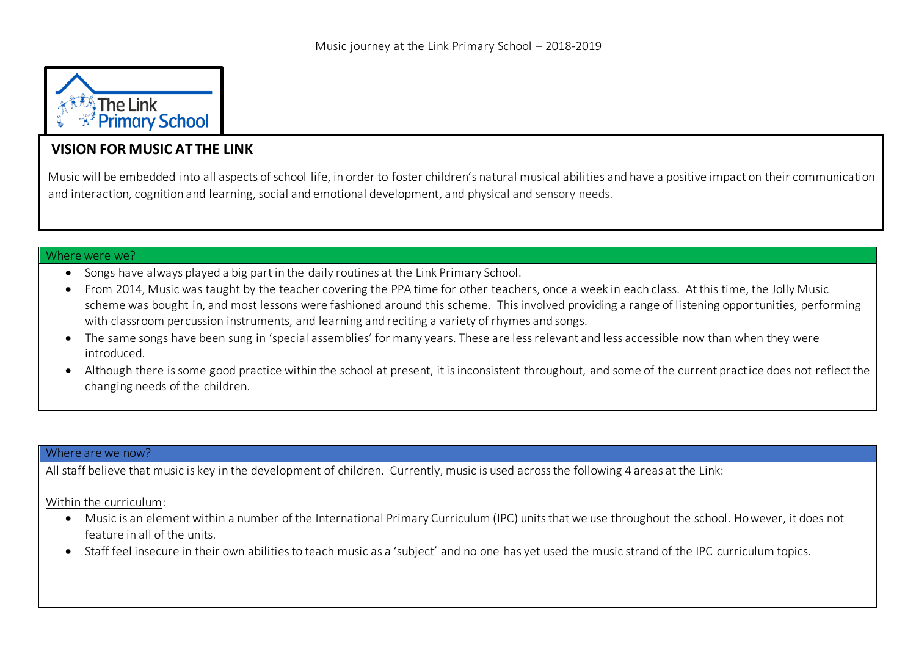

# **VISION FOR MUSIC AT THE LINK**

Music will be embedded into all aspects of school life, in order to foster children's natural musical abilities and have a positive impact on their communication and interaction, cognition and learning, social and emotional development, and physical and sensory needs.

#### Where were we?

- Songs have always played a big part in the daily routines at the Link Primary School.
- From 2014, Music was taught by the teacher covering the PPA time for other teachers, once a week in each class. At this time, the Jolly Music scheme was bought in, and most lessons were fashioned around this scheme. This involved providing a range of listening opportunities, performing with classroom percussion instruments, and learning and reciting a variety of rhymes and songs.
- The same songs have been sung in 'special assemblies' for many years. These are less relevant and less accessible now than when they were introduced.
- Although there is some good practice within the school at present, it is inconsistent throughout, and some of the current practice does not reflect the changing needs of the children.

#### Where are we now?

All staff believe that music is key in the development of children. Currently, music is used across the following 4 areas at the Link:

#### Within the curriculum:

- Music is an element within a number of the International Primary Curriculum (IPC) units that we use throughout the school. However, it does not feature in all of the units.
- Staff feel insecure in their own abilities to teach music as a 'subject' and no one has yet used the music strand of the IPC curriculum topics.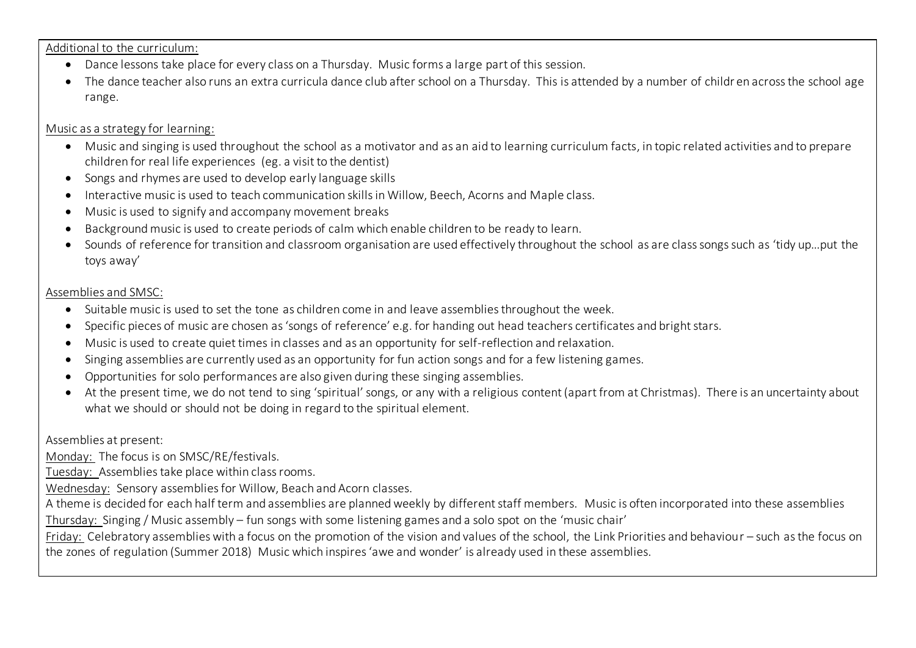Additional to the curriculum:

- Dance lessons take place for every class on a Thursday. Music forms a large part of this session.
- The dance teacher also runs an extra curricula dance club after school on a Thursday. This is attended by a number of childr en across the school age range.

### Music as a strategy for learning:

- Music and singing is used throughout the school as a motivator and as an aid to learning curriculum facts, in topic related activities and to prepare children for real life experiences (eg. a visit to the dentist)
- Songs and rhymes are used to develop early language skills
- Interactive music is used to teach communication skills in Willow, Beech, Acorns and Maple class.
- Music is used to signify and accompany movement breaks
- Background music is used to create periods of calm which enable children to be ready to learn.
- Sounds of reference for transition and classroom organisation are used effectively throughout the school as are class songs such as 'tidy up…put the toys away'

### Assemblies and SMSC:

- Suitable music is used to set the tone as children come in and leave assemblies throughout the week.
- Specific pieces of music are chosen as 'songs of reference' e.g. for handing out head teachers certificates and bright stars.
- Music is used to create quiet times in classes and as an opportunity for self-reflection and relaxation.
- Singing assemblies are currently used as an opportunity for fun action songs and for a few listening games.
- Opportunities for solo performances are also given during these singing assemblies.
- At the present time, we do not tend to sing 'spiritual' songs, or any with a religious content (apart from at Christmas). There is an uncertainty about what we should or should not be doing in regard to the spiritual element.

Assemblies at present:

Monday: The focus is on SMSC/RE/festivals.

Tuesday: Assemblies take place within class rooms.

Wednesday: Sensory assemblies for Willow, Beach and Acorn classes.

A theme is decided for each half term and assemblies are planned weekly by different staff members. Music is often incorporated into these assemblies Thursday: Singing / Music assembly – fun songs with some listening games and a solo spot on the 'music chair'

Friday: Celebratory assemblies with a focus on the promotion of the vision and values of the school, the Link Priorities and behaviour – such as the focus on the zones of regulation (Summer 2018) Music which inspires 'awe and wonder' is already used in these assemblies.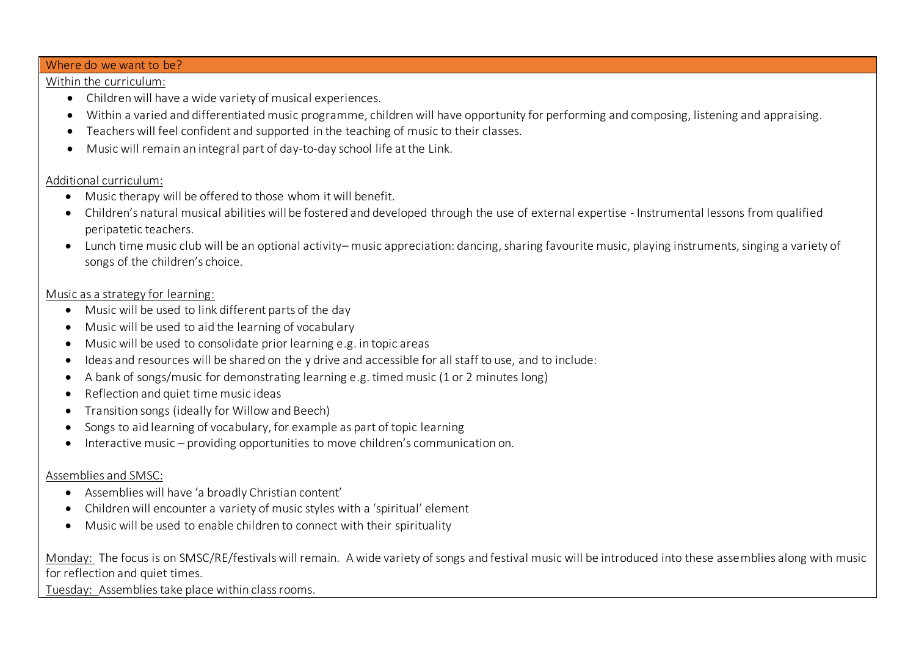#### Where do we want to be?

### Within the curriculum:

- Children will have a wide variety of musical experiences.
- Within a varied and differentiated music programme, children will have opportunity for performing and composing, listening and appraising.
- Teachers will feel confident and supported in the teaching of music to their classes.
- Music will remain an integral part of day-to-day school life at the Link.

### Additional curriculum:

- Music therapy will be offered to those whom it will benefit.
- Children's natural musical abilities will be fostered and developed through the use of external expertise Instrumental lessons from qualified peripatetic teachers.
- Lunch time music club will be an optional activity– music appreciation: dancing, sharing favourite music, playing instruments, singing a variety of songs of the children's choice.

## Music as a strategy for learning:

- Music will be used to link different parts of the day
- Music will be used to aid the learning of vocabulary
- Music will be used to consolidate prior learning e.g. in topic areas
- Ideas and resources will be shared on the y drive and accessible for all staff to use, and to include:
- A bank of songs/music for demonstrating learning e.g. timed music (1 or 2 minutes long)
- Reflection and quiet time music ideas
- Transition songs (ideally for Willow and Beech)
- Songs to aid learning of vocabulary, for example as part of topic learning
- Interactive music providing opportunities to move children's communication on.

## Assemblies and SMSC:

- Assemblies will have 'a broadly Christian content'
- Children will encounter a variety of music styles with a 'spiritual' element
- Music will be used to enable children to connect with their spirituality

Monday: The focus is on SMSC/RE/festivals will remain. A wide variety of songs and festival music will be introduced into these assemblies along with music for reflection and quiet times.

Tuesday: Assemblies take place within class rooms.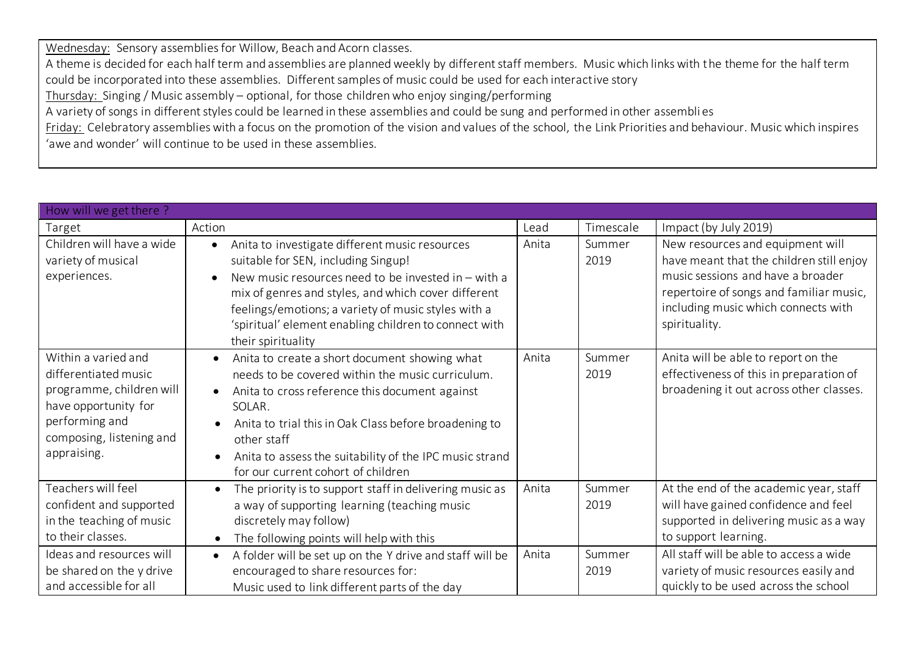Wednesday: Sensory assemblies for Willow, Beach and Acorn classes. A theme is decided for each half term and assemblies are planned weekly by different staff members. Music which links with the theme for the half term could be incorporated into these assemblies. Different samples of music could be used for each interactive story Thursday: Singing / Music assembly – optional, for those children who enjoy singing/performing A variety of songs in different styles could be learned in these assemblies and could be sung and performed in other assembli es Friday: Celebratory assemblies with a focus on the promotion of the vision and values of the school, the Link Priorities and behaviour. Music which inspires 'awe and wonder' will continue to be used in these assemblies.

| How will we get there?                                                                                                                                       |                                                                                                                                                                                                                                                                                                                                                          |       |                |                                                                                                                                                                                                                      |  |  |
|--------------------------------------------------------------------------------------------------------------------------------------------------------------|----------------------------------------------------------------------------------------------------------------------------------------------------------------------------------------------------------------------------------------------------------------------------------------------------------------------------------------------------------|-------|----------------|----------------------------------------------------------------------------------------------------------------------------------------------------------------------------------------------------------------------|--|--|
| Target                                                                                                                                                       | Action                                                                                                                                                                                                                                                                                                                                                   | Lead  | Timescale      | Impact (by July 2019)                                                                                                                                                                                                |  |  |
| Children will have a wide<br>variety of musical<br>experiences.                                                                                              | Anita to investigate different music resources<br>$\bullet$<br>suitable for SEN, including Singup!<br>New music resources need to be invested in $-$ with a<br>mix of genres and styles, and which cover different<br>feelings/emotions; a variety of music styles with a<br>'spiritual' element enabling children to connect with<br>their spirituality | Anita | Summer<br>2019 | New resources and equipment will<br>have meant that the children still enjoy<br>music sessions and have a broader<br>repertoire of songs and familiar music,<br>including music which connects with<br>spirituality. |  |  |
| Within a varied and<br>differentiated music<br>programme, children will<br>have opportunity for<br>performing and<br>composing, listening and<br>appraising. | Anita to create a short document showing what<br>needs to be covered within the music curriculum.<br>Anita to cross reference this document against<br>SOLAR.<br>Anita to trial this in Oak Class before broadening to<br>other staff<br>Anita to assess the suitability of the IPC music strand<br>for our current cohort of children                   | Anita | Summer<br>2019 | Anita will be able to report on the<br>effectiveness of this in preparation of<br>broadening it out across other classes.                                                                                            |  |  |
| Teachers will feel<br>confident and supported<br>in the teaching of music<br>to their classes.                                                               | The priority is to support staff in delivering music as<br>a way of supporting learning (teaching music<br>discretely may follow)<br>The following points will help with this                                                                                                                                                                            | Anita | Summer<br>2019 | At the end of the academic year, staff<br>will have gained confidence and feel<br>supported in delivering music as a way<br>to support learning.                                                                     |  |  |
| Ideas and resources will<br>be shared on the y drive<br>and accessible for all                                                                               | A folder will be set up on the Y drive and staff will be<br>encouraged to share resources for:<br>Music used to link different parts of the day                                                                                                                                                                                                          | Anita | Summer<br>2019 | All staff will be able to access a wide<br>variety of music resources easily and<br>quickly to be used across the school                                                                                             |  |  |